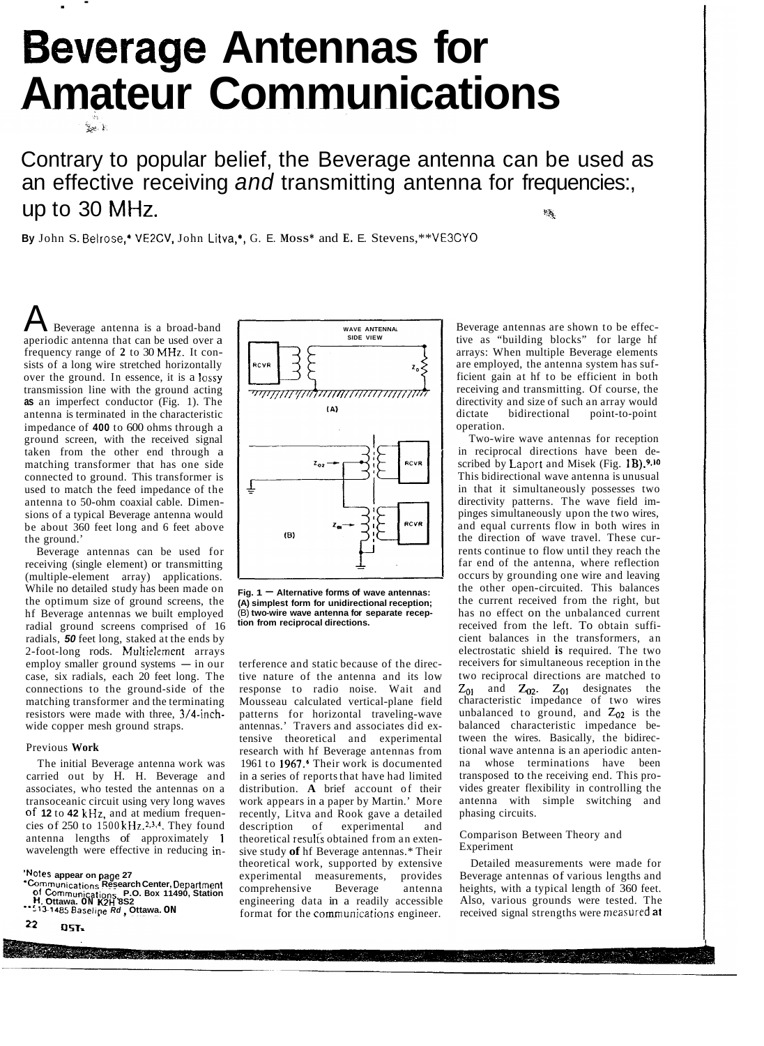# **everage Antennas for Amateur Communications**

. -

Contrary to popular belief, the Beverage antenna can be used as an effective receiving *and* transmitting antenna for frequencies:, up to 30 MHz. *"h,* 

**By** John S. Belrose,' VE2CV, John Litva,\*, G. E. **MOSS\*** and **E.** E. Stevens,\*\* VE3CYO

Beverage antenna is a broad-band aperiodic antenna that can be used over a frequency range of **2** to 30 MHz. It consists of a long wire stretched horizontally over the ground. In essence, it is a lossy transmission line with the ground acting **as** an imperfect conductor (Fig. 1). The antenna is terminated in the characteristic impedance of **400** to 600 ohms through a ground screen, with the received signal taken from the other end through a matching transformer that has one side connected to ground. This transformer is used to match the feed impedance of the antenna to 50-ohm coaxial cable. Dimensions of a typical Beverage antenna would be about 360 feet long and 6 feet above the ground.'

Beverage antennas can be used for receiving (single element) or transmitting (multiple-element array) applications. While no detailed study has been made on the optimum size of ground screens, the hf Beverage antennas we built employed radial ground screens comprised of 16 radials, *50* feet long, staked at the ends by 2-foot-long rods. Multielernent arrays  $emply smaller ground systems - in our$ case, six radials, each 20 feet long. The connections to the ground-side of the matching transformer and the terminating resistors were made with three, 3/4-inchwide copper mesh ground straps.

# Previous **Work**

The initial Beverage antenna work was carried out by H. H. Beverage and associates, who tested the antennas on a transoceanic circuit using very long waves Of **12** to **42** kHz, and at medium frequencies of 250 to 1500 kHz.2.3.4. They found antenna lengths of approximately **<sup>1</sup>** wavelength were effective in reducing in-

**Notes appear on page 27**<br>**Communications Research Center,** Department<br>Of Communications, P.O. Box 11490, Station **<sup>H.</sup> Ottawa.** ON K2H 8S2<br>\*\*<sup>513-1485 Baseline *R*d , Ottawa. ON</sup>

22 **OST.** 



Fig. 1  $-$  Alternative forms of wave antennas: **(A) simplest form for unidirectional reception;**  (B) **two-wire wave antenna for separate reception from reciprocal directions.** 

terference and static because of the directive nature of the antenna and its low response to radio noise. Wait and Mousseau calculated vertical-plane field patterns for horizontal traveling-wave antennas.' Travers and associates did extensive theoretical and experimental research with hf Beverage antennas from 1961 to 1967.<sup>6</sup> Their work is documented in a series of reports that have had limited distribution. **A** brief account of their work appears in a paper by Martin.' More recently, Litva and Rook gave a detailed description of experimental and theoretical results obtained from an extensive study **of** hf Beverage antennas.\* Their theoretical work, supported by extensive experimental measurements, provides<br>comprehensive Beverage antenna comprehensive Beverage antenna engineering data in a readily accessible format for the communications engineer.

Beverage antennas are shown to be effective as "building blocks" for large hf arrays: When multiple Beverage elements are employed, the antenna system has sufficient gain at hf to be efficient in both receiving and transmitting. Of course, the directivity and size of such an array would dictate bidirectional point-to-point operation.

Two-wire wave antennas for reception in reciprocal directions have been described by Laport and Misek (Fig. 1B).9,10 This bidirectional wave antenna is unusual in that it simultaneously possesses two directivity patterns. The wave field impinges simultaneously upon the two wires, and equal currents flow in both wires in the direction of wave travel. These currents continue to flow until they reach the far end of the antenna, where reflection occurs by grounding one wire and leaving the other open-circuited. This balances the current received from the right, but has no effect on the unbalanced current received from the left. To obtain sufficient balances in the transformers, an electrostatic shield **is** required. The two receivers for simultaneous reception in the two reciprocal directions are matched to  $Z_{01}$  and  $Z_{02}$ .  $Z_{01}$  designates the characteristic impedance of two wires unbalanced to ground, and *Z02* is the balanced characteristic impedance between the wires. Basically, the bidirectional wave antenna is an aperiodic antenna whose terminations have been transposed to the receiving end. This provides greater flexibility in controlling the antenna with simple switching and phasing circuits.

# Comparison Between Theory and Experiment

Detailed measurements were made for Beverage antennas of various lengths and heights, with a typical length of 360 feet. Also, various grounds were tested. The received signal strengths were measured at

2015년 대회 대회는 12월 20일 전 10월 12일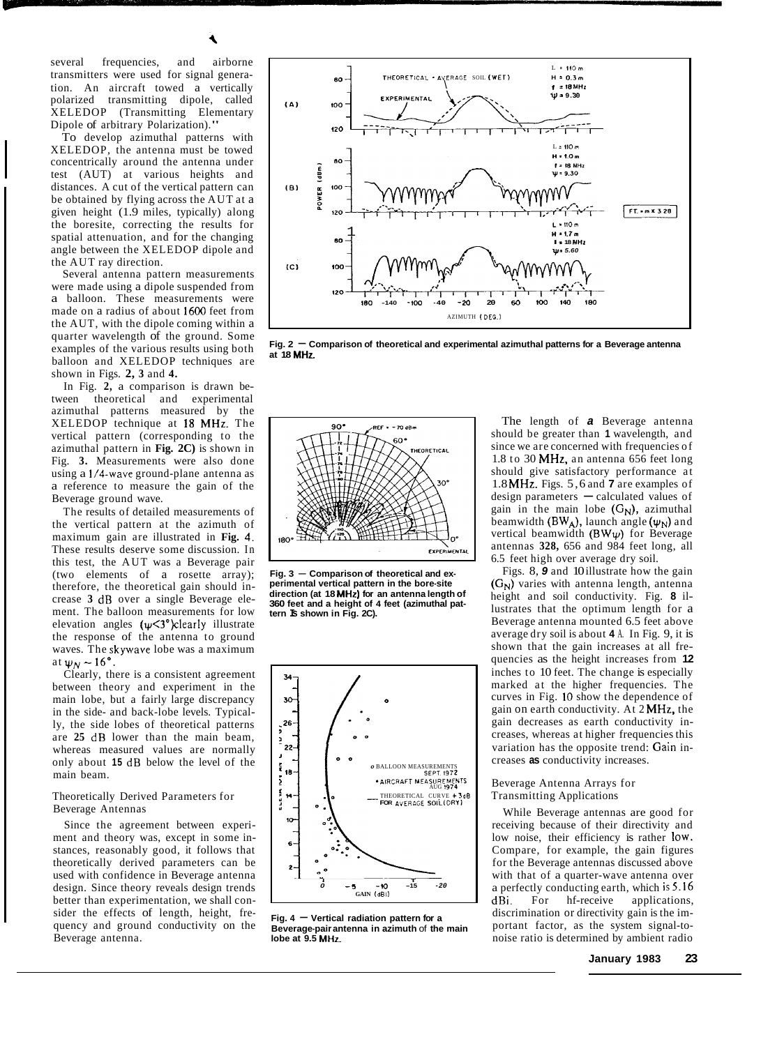several frequencies, and airborne transmitters were used for signal generation. An aircraft towed a vertically polarized transmitting dipole, called XELEDOP (Transmitting Elementary Dipole of arbitrary Polarization)."

To develop azimuthal patterns with XELEDOP, the antenna must be towed concentrically around the antenna under test (AUT) at various heights and distances. A cut of the vertical pattern can be obtained by flying across the AUT at a given height (1.9 miles, typically) along the boresite, correcting the results for spatial attenuation, and for the changing angle between the XELEDOP dipole and the AUT ray direction.

Several antenna pattern measurements were made using a dipole suspended from a balloon. These measurements were made on a radius of about 1600 feet from the AUT, with the dipole coming within a quarter wavelength of the ground. Some examples of the various results using both balloon and XELEDOP techniques are shown in Figs. **2, 3** and **4.** 

In Fig. **2,** a comparison is drawn between theoretical and experimental azimuthal patterns measured by the XELEDOP technique at I8 MHz. The vertical pattern (corresponding to the azimuthal pattern in **Fig. 2C)** is shown in Fig. **3.** Measurements were also done using a 1/4-wave ground-plane antenna as a reference to measure the gain of the Beverage ground wave.

The results of detailed measurements of the vertical pattern at the azimuth of maximum gain are illustrated in **Fig. 4.**  These results deserve some discussion. In this test, the AUT was a Beverage pair (two elements of a rosette array); therefore, the theoretical gain should increase **3** dB over a single Beverage element. The balloon measurements for low elevation angles  $(\psi \leq 3)$ <sup>°</sup>)clearly illustrate the response of the antenna to ground waves. The skywave lobe was a maximum at  $\psi_N \sim 16^\circ$ .

Clearly, there is a consistent agreement between theory and experiment in the main lobe, but a fairly large discrepancy in the side- and back-lobe levels. Typically, the side lobes of theoretical patterns are **25** dB lower than the main beam, whereas measured values are normally only about **15** dB below the level of the main beam.

# Theoretically Derived Parameters for Beverage Antennas

Since the agreement between experiment and theory was, except in some instances, reasonably good, it follows that theoretically derived parameters can be used with confidence in Beverage antenna design. Since theory reveals design trends better than experimentation, we shall consider the effects of length, height, frequency and ground conductivity on the Beverage antenna.



Fig. 2  $-$  Comparison of theoretical and experimental azimuthal patterns for a Beverage antenna **at 18 MHz.** 



**perimental vertical pattern in the bore-site direction (at 18 MHz) for an antenna length of 360 feet and a height of 4 feet (azimuthal pattern Is shown in Fig. 2C).** 



**Fig. 4 – Vertical radiation pattern for a Beverage-pair antenna in azimuth** of **the main lobe at 9.5 MHz.** 

The length of *a* Beverage antenna should be greater than **1** wavelength, and since we are concerned with frequencies of 1.8 to 30 MHz, an antenna 656 feet long should give satisfactory performance at 1.8 MHz. Figs. 5,6 and **7** are examples of design parameters  $-$  calculated values of gain in the main lobe  $(G_N)$ , azimuthal beamwidth  $(BW_A)$ , launch angle  $(\psi_N)$  and vertical beamwidth  $(BW\psi)$  for Beverage antennas **328,** 656 and 984 feet long, all 6.5 feet high over average dry soil.

Figs. 8, **9** and 10 illustrate how the gain **(G<sub>N</sub>)** varies with antenna length, antenna height and soil conductivity. Fig. **8** illustrates that the optimum length for a Beverage antenna mounted 6.5 feet above average dry soil is about **4** A. In Fig. 9, it is shown that the gain increases at all frequencies as the height increases from **12**  inches to 10 feet. The change is especially marked at the higher frequencies. The curves in Fig. **10** show the dependence of gain on earth conductivity. At 2 MHz, the gain decreases as earth conductivity increases, whereas at higher frequencies this variation has the opposite trend: Gain increases **as** conductivity increases.

# Beverage Antenna Arrays for Transmitting Applications

While Beverage antennas are good for receiving because of their directivity and low noise, their efficiency is rather low. Compare, for example, the gain figures for the Beverage antennas discussed above with that of a quarter-wave antenna over a perfectly conducting earth, which is 5.16 dBi. For hf-receive applications, discrimination or directivity gain is the important factor, as the system signal-tonoise ratio is determined by ambient radio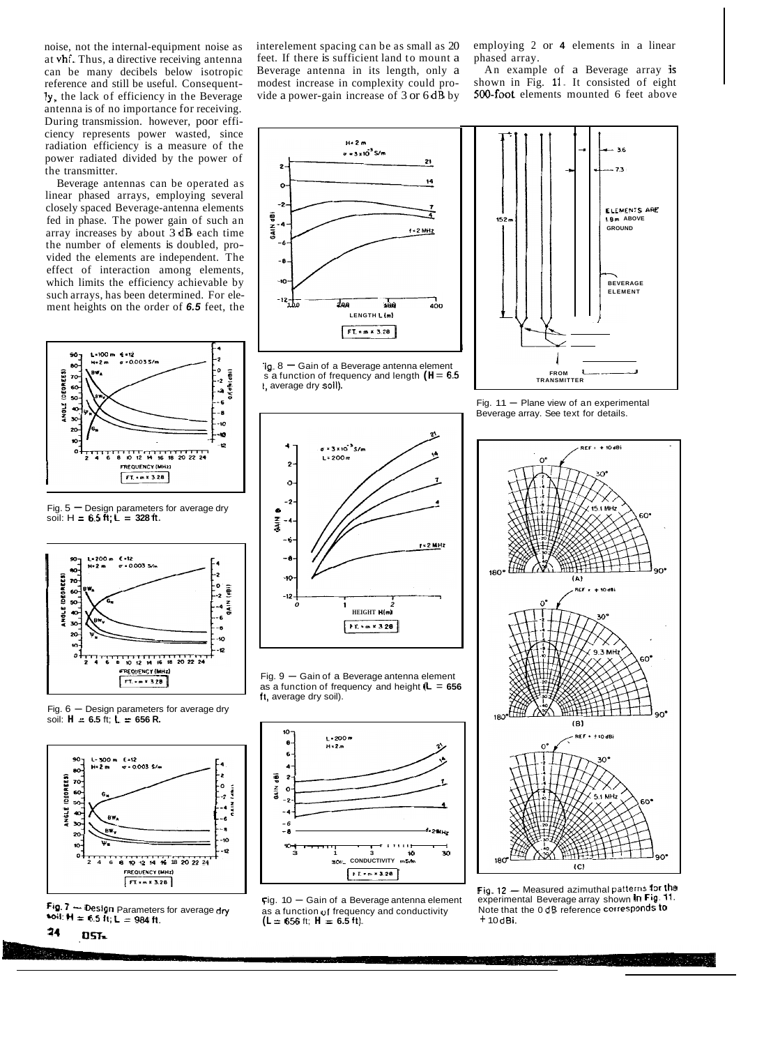noise, not the internal-equipment noise as at vhf. Thus, a directive receiving antenna can be many decibels below isotropic reference and still be useful. Consequently, the lack of efficiency in the Beverage antenna is of no importance for receiving. During transmission. however, poor efficiency represents power wasted, since radiation efficiency is a measure of the power radiated divided by the power of the transmitter.

Beverage antennas can be operated as linear phased arrays, employing several closely spaced Beverage-antenna elements fed in phase. The power gain of such an array increases by about 3 dB each time the number of elements is doubled, provided the elements are independent. The effect of interaction among elements, which limits the efficiency achievable by such arrays, has been determined. For element heights on the order of *6.5* feet, the



Fig.  $5 -$  Design parameters for average dry soil:  $H = 6.5 \text{ ft}; \textbf{L} = 328 \text{ ft}.$ 



Fig.  $6$  - Design parameters for average dry soil:  $H = 6.5$  ft;  $L = 656$  R.



 $10: H = 6.5$  it;  $L = 984$  ft.



interelement spacing can be as small as 20 feet. If there is sufficient land to mount a Beverage antenna in its length, only a modest increase in complexity could provide a power-gain increase of  $3$  or  $6 d\hat{B}$  by

employing 2 or **4** elements in a linear phased array.

An example of a Beverage array is shown in Fig. 11. It consisted of eight 500-foot elements mounted 6 feet above







Fig.  $11$  - Plane view of an experimental Beverage array. See text for details.





Fig. **12** - Measured azimuthal patterns for the experimental Beverage array shown In Fig. **11.**  Note that the 0 dB reference corresponds lo + 10 dBi.



Fig. 9 - Gain of a Beverage antenna element as a function of frequency and height **(L** = **656**  ft, average dry soil).

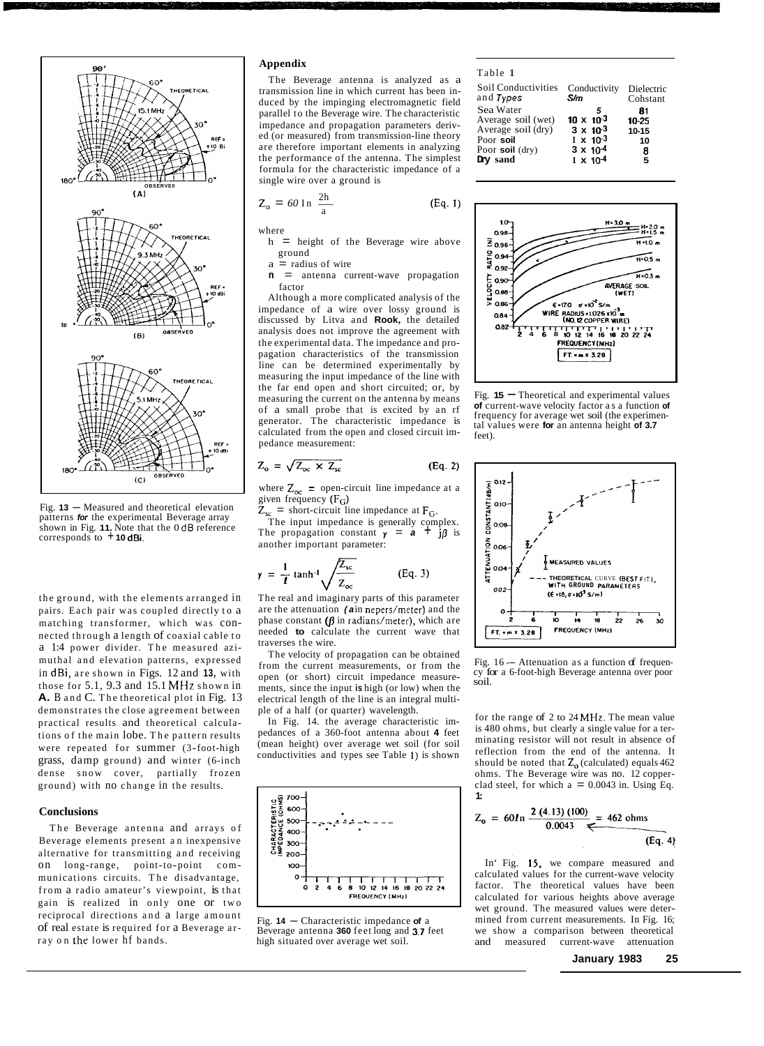

Fig. **13** - Measured and theoretical elevation patterns *for* the experimental Beverage array shown in Fig. **11.** Note that the 0 **dB** reference corresponds to + **10 dBi.** 

the ground, with the elements arranged in pairs. Each pair was coupled directly to a matching transformer, which was connected through a length of coaxial cable to a 1:4 power divider. The measured azimuthal and elevation patterns, expressed in dBi, are shown in Figs. 12 and **13,** with those for 5.1, 9.3 and 15.1 **MHz** shown in **A.** B and C. The theoretical plot in Fig. 13 demonstrates the close agreement between practical results and theoretical calculations of the main lobe. The pattern results were repeated for summer (3-foot-high grass, damp ground) and winter (6-inch dense snow cover, partially frozen ground) with no change in the results.

## **Conclusions**

The Beverage antenna and arrays of Beverage elements present an inexpensive alternative for transmitting and receiving on long-range, point-to-point communications circuits. The disadvantage, from a radio amateur's viewpoint, is that gain is realized in only one or two reciprocal directions and a large amount of real estate is required for a Beverage a rray on the lower hf bands.

# **Appendix**

The Beverage antenna is analyzed as a transmission line in which current has been induced by the impinging electromagnetic field parallel to the Beverage wire. The characteristic impedance and propagation parameters derived (or measured) from transmission-line theory are therefore important elements in analyzing the performance of the antenna. The simplest formula for the characteristic impedance of a<br>
single wire over a ground is<br>  $Z_0 = 60$  In  $\frac{2h}{a}$  (Eq. 1) single wire over a ground is

$$
Z_o = 60 \ln \frac{2h}{a}
$$

where

h = height of the Beverage wire above ground

(Eq. **1)** 

- $a =$  radius of wire
- **n** = antenna current-wave propagation factor

Although a more complicated analysis of the impedance of a wire over lossy ground is discussed by Litva and **Rook,** the detailed analysis does not improve the agreement with the experimental data. The impedance and propagation characteristics of the transmission line can be determined experimentally by measuring the input impedance of the line with the far end open and short circuited; or, by measuring the current on the antenna by means of a small probe that is excited by an rf generator. The characteristic impedance is calculated from the open and closed circuit impedance measurement:

$$
Z_o = \sqrt{Z_{oc} \times Z_{sc}}
$$
 (Eq. 2)

where  $Z_{\text{oc}}$  = open-circuit line impedance at a given frequency **(FG)** 

 $Z_{\text{sc}}$  = short-circuit line impedance at  $F_G$ .

The input impedance is generally complex. The propagation constant  $\gamma = a + j\beta$  is another important parameter:

$$
\gamma = \frac{1}{I} \tanh^{-1} \sqrt{\frac{Z_{sc}}{Z_{oc}}} \tag{Eq. 3}
$$

The real and imaginary parts of this parameter are the attenuation (ain nepers/meter) and the phase constant  $(\beta$  in radians/meter), which are needed **to** calculate the current wave that traverses the wire.

The velocity of propagation can be obtained from the current measurements, or from the open (or short) circuit impedance measurements, since the input **is** high (or low) when the electrical length of the line is an integral multiple of a half (or quarter) wavelength.

In Fig. 14. the average characteristic impedances of a 360-foot antenna about **4** feet (mean height) over average wet soil (for soil conductivities and types see Table **1)** is shown



Fig. **14** - Characteristic impedance **of** a Beverage antenna **360** feet long and **3.7** feet high situated over average wet soil.

| Table 1             |                     |            |
|---------------------|---------------------|------------|
| Soil Conductivities | Conductivity        | Dielectric |
| and Types           | S/m                 | Cohstant   |
| Sea Water           | 5                   | 81         |
| Average soil (wet)  | $10 \times 10^{-3}$ | 10-25      |
| Average soil (dry)  | $3 \times 10^{3}$   | $10 - 15$  |
| Poor soil           | $I \times 10^{-3}$  | 10         |
| Poor soil $(dry)$   | $3 \times 10^{-4}$  | 8          |
| Dry sand            | $1 \times 10^{-4}$  | 5          |



Fig. **<sup>15</sup>**- Theoretical and experimental values **of** current-wave velocity factor as a function **of**  frequency for average wet soil (the experimental values were **for** an antenna height **of 3.7**  feet).



Fig. 16 - Attenuation as a function of frequen-<br>cy for a 6-foot-high Beverage antenna over poor soil.

for the range of 2 to 24 **MHz.** The mean value is 480 ohms, but clearly a single value for a terminating resistor will not result in absence of reflection from the end of the antenna. It should be noted that  $Z_0$  (calculated) equals 462 ohms. The Beverage wire was no. 12 copperclad steel, for which  $a = 0.0043$  in. Using Eq. **1:** 

$$
Z_{o} = 60ln \frac{2 (4.13) (100)}{0.0043} = 462 ohms
$$
\n(Eq. 4)

In' Fig. 15, we compare measured and calculated values for the current-wave velocity factor. The theoretical values have been calculated for various heights above average wet ground. The measured values were determined from current measurements. In Fig. 16; we show a comparison between theoretical and measured current-wave attenuation

**January 1983 25**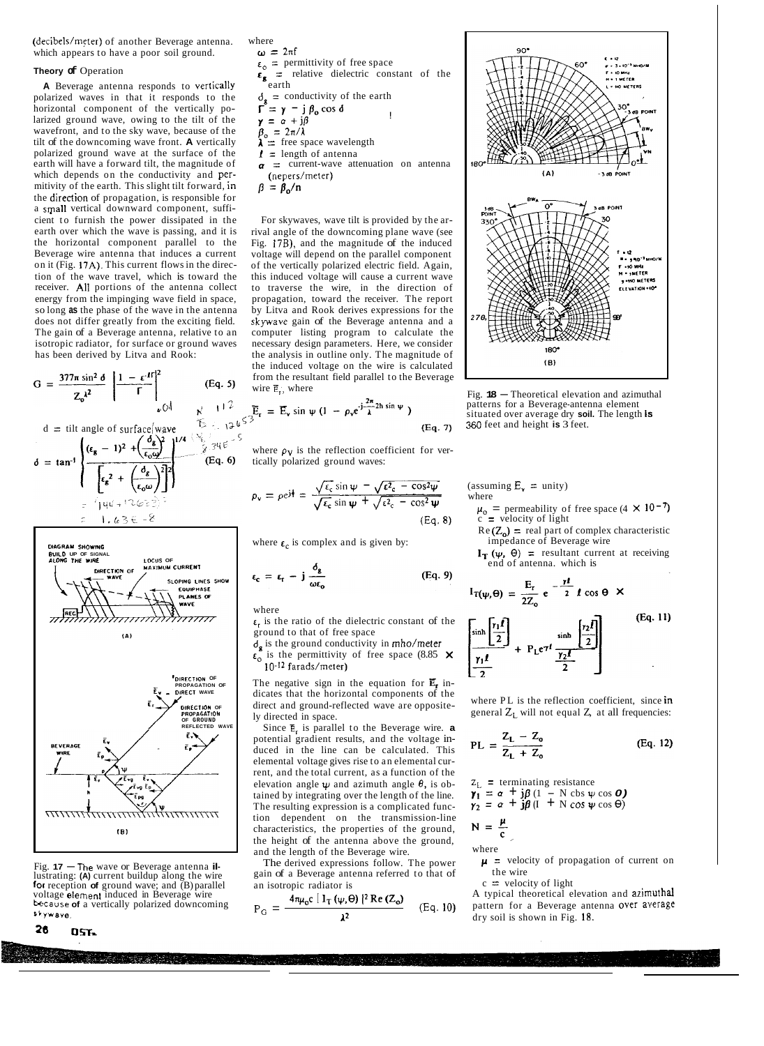(decibels/meter) of another Beverage antenna. which appears to have a poor soil ground.

## **Theory of** Operation

**A** Beverage antenna responds to vertically polarized waves in that it responds to the horizontal component of the vertically polarized ground wave, owing to the tilt of the wavefront, and to the sky wave, because of the tilt of the downcoming wave front. **A** vertically polarized ground wave at the surface of the earth will have a forward tilt, the magnitude of which depends on the conductivity and permitivity of the earth. This slight tilt forward, in the direction of propagation, is responsible for a srpall vertical downward component, sufficient to furnish the power dissipated in the earth over which the wave is passing, and it is the horizontal component parallel to the Beverage wire antenna that induces a current on it (Fig. 17A). This current flows in the direction of the wave travel, which is toward the receiver. **All** portions of the antenna collect energy from the impinging wave field in space, so long **as** the phase of the wave in the antenna does not differ greatly from the exciting field. The gain of a Beverage antenna, relative to an isotropic radiator, for surface or ground waves has been derived by Litva and Rook:

$$
G = \frac{377\pi \sin^2 \theta}{Z_0^{\lambda^2}} \left| \frac{1 - e^{tT}}{\Gamma} \right|^2_{\psi} \qquad (Eq. 5)
$$

$$
d = \text{ till angle of surface} \left\{ \frac{d\mathbf{r}}{d\mathbf{r}} - 1 \right\}^2 + \left( \frac{d\mathbf{r}}{d\mathbf{r}} \right)^2 + \left( \frac{d\mathbf{r}}{d\mathbf{r}} \right)^2 + \left( \frac{d\mathbf{r}}{d\mathbf{r}} \right)^2 + \left( \frac{d\mathbf{r}}{d\mathbf{r}} \right)^2 + \left( \frac{d\mathbf{r}}{d\mathbf{r}} \right)^2 + \left( \frac{d\mathbf{r}}{d\mathbf{r}} \right)^2 + \left( \frac{d\mathbf{r}}{d\mathbf{r}} \right)^2 + \left( \frac{d\mathbf{r}}{d\mathbf{r}} \right)^2 + \left( \frac{d\mathbf{r}}{d\mathbf{r}} \right)^2 + \left( \frac{d\mathbf{r}}{d\mathbf{r}} \right)^2 + \left( \frac{d\mathbf{r}}{d\mathbf{r}} \right)^2 + \left( \frac{d\mathbf{r}}{d\mathbf{r}} \right)^2 + \left( \frac{d\mathbf{r}}{d\mathbf{r}} \right)^2 + \left( \frac{d\mathbf{r}}{d\mathbf{r}} \right)^2 + \left( \frac{d\mathbf{r}}{d\mathbf{r}} \right)^2 + \left( \frac{d\mathbf{r}}{d\mathbf{r}} \right)^2 + \left( \frac{d\mathbf{r}}{d\mathbf{r}} \right)^2 + \left( \frac{d\mathbf{r}}{d\mathbf{r}} \right)^2 + \left( \frac{d\mathbf{r}}{d\mathbf{r}} \right)^2 + \left( \frac{d\mathbf{r}}{d\mathbf{r}} \right)^2 + \left( \frac{d\mathbf{r}}{d\mathbf{r}} \right)^2 + \left( \frac{d\mathbf{r}}{d\mathbf{r}} \right)^2 + \left( \frac{d\mathbf{r}}{d\mathbf{r}} \right)^2 + \left( \frac{d\mathbf{r}}{d\mathbf{r}} \right)^2 + \left( \frac{d\mathbf{r}}{d\mathbf{r}} \right)^2 + \left( \frac{d\mathbf{r}}{d\mathbf{r}} \right)^2 + \left( \frac{d\mathbf{r}}{d\mathbf{r}} \right)^2 + \left( \frac{d\mathbf{r}}{d
$$



Fig. **17** - The wave or Beverage antenna **il-**lustrating: **(A)** current buildup along the wire **for** reception **of** ground wave; and (B) parallel voltage element induced in Beverage wire<br>**because of** a vertically polarized downcoming \*bywave.

$$
26 \qquad 0.57
$$



 $\beta = \beta_0/n$ 

For skywaves, wave tilt is provided by the arrival angle of the downcoming plane wave (see Fig. **17B),** and the magnitude of the induced voltage will depend on the parallel component of the vertically polarized electric field. Again, this induced voltage will cause a current wave to traverse the wire, in the direction of propagation, toward the receiver. The report by Litva and Rook derives expressions for the skywave gain of the Beverage antenna and a computer listing program to calculate the necessary design parameters. Here, we consider the analysis in outline only. The magnitude of the induced voltage on the wire is calculated from the resultant field parallel to the Beverage wire  $\overline{E}_r$ , where

$$
\frac{1^2}{1^2 \psi^{\zeta^2}} \overline{E}_r = \overline{E}_v \sin \psi (1 - \rho_v e^{j \frac{2\pi}{\lambda} 2h \sin \psi})
$$
(Eq.

where  $\rho_V$  is the reflection coefficient for vertically polarized ground waves:

$$
\rho_{\mathbf{v}} = \rho e^{j\dagger} = \frac{\sqrt{\epsilon_{\mathbf{c}}} \sin \psi - \sqrt{\epsilon^2_{\mathbf{c}} - \cos^2 \psi}}{\sqrt{\epsilon_{\mathbf{c}}} \sin \psi + \sqrt{\epsilon^2_{\mathbf{c}} - \cos^2 \psi}}
$$
\n(Ea. 8)

where  $\epsilon_c$  is complex and is given by:

$$
\epsilon_{\rm c} = \epsilon_{\rm r} - {\rm j} \, \frac{\delta_{\rm g}}{\omega \epsilon_{\rm o}} \tag{Eq. 9}
$$

where

 $\epsilon_r$  is the ratio of the dielectric constant of the ground to that of free space

 $d_{g}$  is the ground conductivity in  $\text{mho/meter}$  $\epsilon_0$  is the permittivity of free space (8.85  $\times$ 10-<sup>12</sup> farads/meter)

The negative sign in the equation for  $\mathbf{E}_{r}$  indicates that the horizontal components of the direct and ground-reflected wave are oppositely directed in space.

Since **E,** is parallel to the Beverage wire. **a**  potential gradient results, and the voltage induced in the line can be calculated. This elemental voltage gives rise to an elemental current, and the total current, as a function of the elevation angle  $\psi$  and azimuth angle  $\theta$ , is obtained by integrating over the length of the line. The resulting expression is a complicated function dependent on the transmission-line characteristics, the properties of the ground, the height of the antenna above the ground, and the length of the Beverage wire.

The derived expressions follow. The power gain of a Beverage antenna referred to that of an isotropic radiator is

$$
P_G = \frac{4\pi\mu_0 c \left[1_T (\psi, \theta)\right]^2 Re(Z_0)}{\lambda^2}
$$
 (Eq. 10)



Fig. **<sup>18</sup>**- Theoretical elevation and azimuthal patterns for a Beverage-antenna element situated over average dry **soil.** The length **IS**  *360* feet and height **is** 3 feet.

(assuming  $E_r =$  unity) where

 $\overline{a}$ 

 $\mu_0$  = permeability of free space (4  $\times$  10<sup>-7</sup>)  $c =$  velocity of light

 $Re(Z_0)$  = real part of complex characteristic impedance of Beverage wire

 $I_T(\psi, \Theta)$  = resultant current at receiving end of antenna. which is

$$
I_{T(\psi,\Theta)} = \frac{E_r}{2Z_o} e^{-\frac{\gamma I}{2}} I \cos \Theta \times
$$
\n
$$
\left[\frac{\sinh\left[\frac{r_1 I}{2}\right]}{r_1 I} + P_L e^{\gamma I} \frac{\sinh\left[\frac{r_2 I}{2}\right]}{r_2 I}\right] \qquad (Eq. 11)
$$

where PL is the reflection coefficient, since in general  $Z_1$  will not equal  $Z$ , at all frequencies:

$$
PL = \frac{Z_{L} - Z_{o}}{Z_{L} + Z_{o}}
$$
 (Eq. 12)

$$
z_{L} = \text{terminating resistance}
$$
\n
$$
\gamma_{1} = \alpha + j\beta (1 - N \cos \psi \cos \theta)
$$
\n
$$
\gamma_{2} = \alpha + j\beta (I + N \cos \psi \cos \theta)
$$

$$
\gamma_2 = \alpha + j\beta \left(1 + N \cos \psi \cos \Theta\right)
$$

$$
N = \frac{\mu}{c}
$$

where

 $p =$  velocity of propagation of current on the wire

 $c =$  velocity of light

A typical theoretical elevation and azimuthal pattern for a Beverage antenna over average dry soil is shown in Fig. **18.**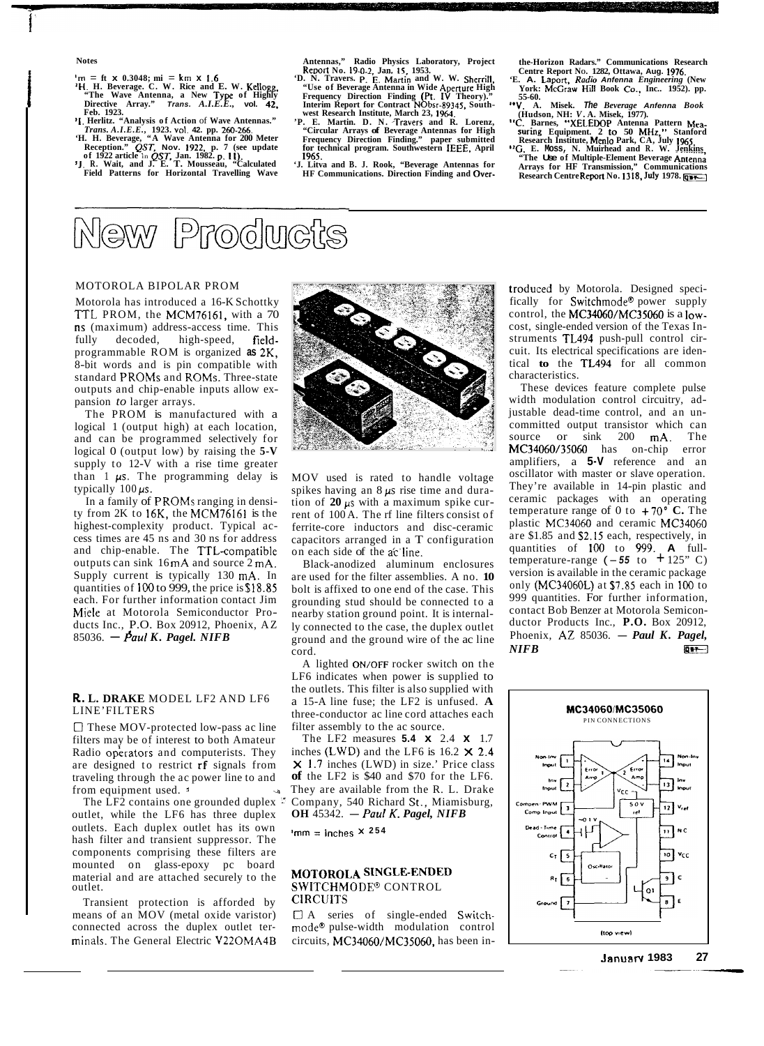### **Notes**

- 
- $m = ft \times 0.3048$ ;  $mi = km \times 1.6$ <br>  $H. H. Beverage. C. W. Rice and E. W. Kellogg,$ <br>
"The Wave Antenna, a New Type of Highly<br>
Directive Array." Trans. A.I.E.E., vol. 42, **Directive Array."**<br>Feb. 1923.

<sup>2</sup>I. Herlitz. "Analysis of Action of Wave Antennas."<br>Trans. A.I.E.E., 1923, vol. 42. pp. 260-266.<br>"H. H. Beverage, "A Wave Antenna for 200 Meter<br>Reception." QST, Nov. 1922, p. 7 (see update<br>of 1922 article in QST, Jan. 19

- 
- **Field Patterns for Horizontal Travelling Wave**

- Antennas," Radio Physics Laboratory, Project<br>
Report No. 19-0-2, Jan. 15, 1953.<br>
"D. N. Travers. P. E. Martin and W. W. Sherrill,<br>
"Use of Beverage Antenna in Wide Aperture High<br>
Frequency Direction Finding (Pt. IV Theory)
- **for technical program. Southwestern IEEE, April 1965.**
- Litva and B. J. Rook, "Beverage Antennas for **HF Communications. Direction Finding and Over-**

New Products

# MOTOROLA BIPOLAR PROM

Motorola has introduced a 16-K Schottky TTL PROM, the MCM76161, with a 70 **ns** (maximum) address-access time. This fully decoded, high-speed, fieldprogrammable ROM is organized **as** 2K, 8-bit words and is pin compatible with standard PROMs and ROMs. Three-state outputs and chip-enable inputs allow expansion *to* larger arrays.

The PROM is manufactured with a logical 1 (output high) at each location, and can be programmed selectively for logical 0 (output low) by raising the **5-V**  supply to 12-V with a rise time greater than  $1 \mu s$ . The programming delay is typically 100  $\mu$ s.

In a family of PROMs ranging in density from 2K to 16K, the MCM76161 is the highest-complexity product. Typical access times are 45 ns and 30 ns for address and chip-enable. The TTL-compatible outputs can sink 16 mA and source 2 mA. Supply current is typically 130 mA. In quantities of 100 to 999, the price is \$18.85 each. For further information contact Jim Miele at Motorola Semiconductor Pro-Miele at Motorola Semiconductor Products Inc., P.O. Box 20912, Phoenix, AZ<br>85036. — *Paul K. Pagel. NIFB* 

# **R.. L. DRAKE** MODEL LF2 AND LF6 LINE'FILTERS

*0* These MOV-protected low-pass ac line filters may be of interest to both Amateur Radio operators and computerists. They are designed to restrict **rf** signals from traveling through the ac power line to and

from equipment used. <sup>5</sup><br>The LF2 contains one grounded duplex<sup>15</sup> outlet, while the LF6 has three duplex outlets. Each duplex outlet has its own hash filter and transient suppressor. The components comprising these filters are mounted on glass-epoxy pc board material and are attached securely to the

means of an MOV (metal oxide varistor)  $\Box$  A series of single-ended Switchconnected across the duplex outlet ter- mode@ pulse-width modulation control minals. The General Electric V22OMA4B circuits, MC34060/MC35060, has been in-Transient protection is afforded by CIRCUITS



MOV used is rated to handle voltage spikes having an 8 *ps* rise time and duration of  $20 \mu s$  with a maximum spike current of 100 A. The rf line filters consist of ferrite-core inductors and disc-ceramic capacitors arranged in a T configuration on each side of the ac'line.

Black-anodized aluminum enclosures are used for the filter assemblies. A no. **10**  bolt is affixed to one end of the case. This grounding stud should be connected to a nearby station ground point. It is internally connected to the case, the duplex outlet ground and the ground wire of the ac line cord.

A lighted **ON/OFF** rocker switch on the LF6 indicates when power is supplied to the outlets. This filter is also supplied with a 15-A line fuse; the LF2 is unfused. **A**  three-conductor ac line cord attaches each filter assembly to the ac source.

They are available from the R. L. Drake They are available from the K. L. Drake<br>The LF2 contains one grounded duplex  $\overline{C}$  Company, 540 Richard St., Miamisburg,<br>tlet, while the LF6 has three duplex **OH** 45342. *- Paul K. Pagel, NIFB* The LF2 measures **5.4 x** 2.4 **x** 1.7 inches **(LWD)** and the LF6 is 16.2 **X 2.4**  x 1.7 inches (LWD) in size.' Price class **of** the LF2 is \$40 and \$70 for the LF6.

 $'$ mm =  $i$ nches  $\times$  254

# SWITCHMODE<sup>®</sup> CONTROL MOTOROLA SINGLE-ENDED

the-Horizon Radars." Communications Research<br>Centre Report No. 1282, Ottawa, Aug. 1976.<br>"E. A. Laport, Radio Antenna Engineering (New<br>York: McGraw Hill Book Co., Inc.. 1952). pp.

- **55-60.**<br>55-60.<br>*I*. A. Misek. The Beverage Anfenna Book
- 
- "V. A. Misek. The Beverage Anfenna Book<br>
(Hudson, NH: V. A. Misek, 1977).<br>
"C. Barnes, "XELEDOP Antenna Pattern Mea-<br>
suring Equipment. 2 to 50 MHz," Stanford<br>
Research Institute, Menlo Park, CA, July 1965.<br>
"G. E. Moss, N
- **Arrays for HF Transmission," Communications Research Centre Report No. 1318, July 1978.**

troduced by Motorola. Designed specifically for Switchmode@ power supply control, the MC34060/MC35060 is a lowcost, single-ended version of the Texas Instruments TL494 push-pull control circuit. Its electrical specifications are identical **to** the TL494 for all common characteristics.

These devices feature complete pulse width modulation control circuitry, adjustable dead-time control, and an uncommitted output transistor which can source or sink 200 mA. The MC34060/35060 has on-chip error amplifiers, a 5-V reference and an oscillator with master or slave operation. They're available in 14-pin plastic and ceramic packages with an operating temperature range of 0 to  $+70^\circ$  **C.** The plastic MC34060 and ceramic MC34060 are \$1.85 and \$2.15 each, respectively, in quantities of **100** to 999. **A** fulltemperature-range  $(-55 \text{ to } +125 \text{° C})$ version is available in the ceramic package only (MC34060L) at \$7.85 each in **100** to 999 quantities. For further information, contact Bob Benzer at Motorola Semiconductor Products Inc., **P.O.** Box 20912, contact Bob Benzer at Motorola Semicon-<br>ductor Products Inc., **P.O.** Box 20912,<br>Phoenix, AZ 85036. - *Paul K. Pagel,* Phoenix, A*L* 85036. — *Paul K. Pagel,*<br>*NIFB*  $\overline{a}$